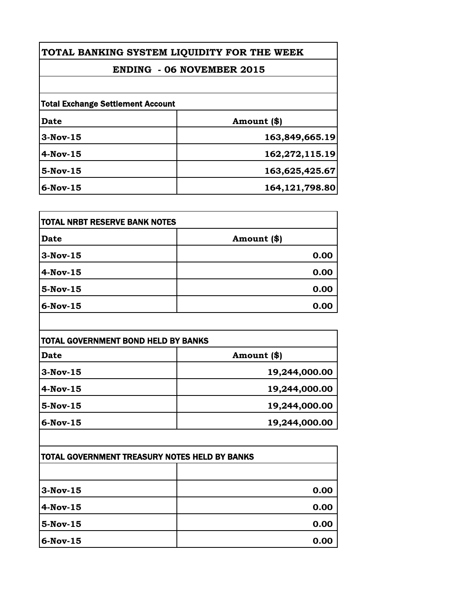|  |  |  | TOTAL BANKING SYSTEM LIQUIDITY FOR THE WEEK |
|--|--|--|---------------------------------------------|
|--|--|--|---------------------------------------------|

## **ENDING - 06 NOVEMBER 2015**

| <b>Total Exchange Settlement Account</b> |                  |  |
|------------------------------------------|------------------|--|
| Date                                     | Amount (\$)      |  |
| $3-Nov-15$                               | 163,849,665.19   |  |
| $4$ -Nov-15                              | 162,272,115.19   |  |
| $5-Nov-15$                               | 163,625,425.67   |  |
| $6-Nov-15$                               | 164, 121, 798.80 |  |

| <b>TOTAL NRBT RESERVE BANK NOTES</b> |             |
|--------------------------------------|-------------|
| <b>Date</b>                          | Amount (\$) |
| $3-Nov-15$                           | 0.00        |
| $4-Nov-15$                           | 0.00        |
| $5-Nov-15$                           | 0.00        |
| $6$ -Nov-15                          | 0.00        |

| TOTAL GOVERNMENT BOND HELD BY BANKS<br>Amount (\$)<br><b>Date</b> |               |
|-------------------------------------------------------------------|---------------|
|                                                                   |               |
| $3-Nov-15$                                                        | 19,244,000.00 |
| $4$ -Nov-15                                                       | 19,244,000.00 |
| $5-Nov-15$                                                        | 19,244,000.00 |
| $6-Nov-15$                                                        | 19,244,000.00 |

| <b>ITOTAL GOVERNMENT TREASURY NOTES HELD BY BANKS</b> |      |
|-------------------------------------------------------|------|
|                                                       |      |
| $3-Nov-15$                                            | 0.00 |
| $4$ -Nov-15                                           | 0.00 |
| $5$ -Nov-15                                           | 0.00 |
| $6$ -Nov-15                                           | 0.00 |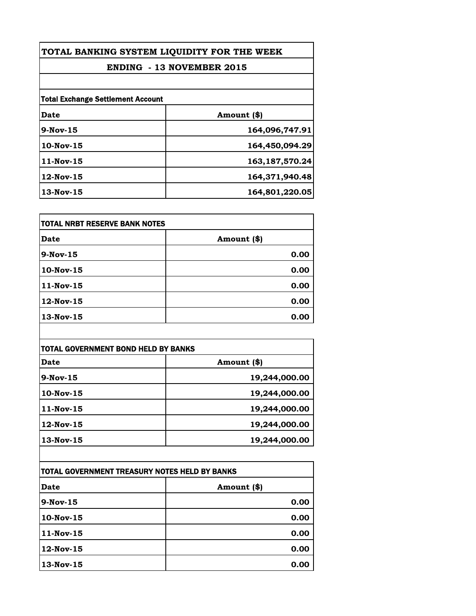| TOTAL BANKING SYSTEM LIQUIDITY FOR THE WEEK |                   |  |
|---------------------------------------------|-------------------|--|
| <b>ENDING - 13 NOVEMBER 2015</b>            |                   |  |
|                                             |                   |  |
| <b>Total Exchange Settlement Account</b>    |                   |  |
| Date                                        | Amount (\$)       |  |
| $9-Nov-15$                                  | 164,096,747.91    |  |
| $10$ -Nov- $15$                             | 164,450,094.29    |  |
| $11$ -Nov-15                                | 163, 187, 570. 24 |  |
| $12$ -Nov- $15$                             | 164,371,940.48    |  |
| 13-Nov-15                                   | 164,801,220.05    |  |

| itotal NRBT RESERVE BANK NOTES |             |
|--------------------------------|-------------|
| Date                           | Amount (\$) |
| 9-Nov-15                       | 0.00        |
| 10-Nov-15                      | 0.00        |
| 11-Nov-15                      | 0.00        |
| 12-Nov-15                      | 0.00        |
| 13-Nov-15                      | 0.00        |

| TOTAL GOVERNMENT BOND HELD BY BANKS |               |  |
|-------------------------------------|---------------|--|
| Date                                | Amount (\$)   |  |
| $9-Nov-15$                          | 19,244,000.00 |  |
| $10$ -Nov-15                        | 19,244,000.00 |  |
| $11$ -Nov-15                        | 19,244,000.00 |  |
| $12$ -Nov-15                        | 19,244,000.00 |  |
| $13-Nov-15$                         | 19,244,000.00 |  |

| TOTAL GOVERNMENT TREASURY NOTES HELD BY BANKS |             |
|-----------------------------------------------|-------------|
| Date                                          | Amount (\$) |
| $9-Nov-15$                                    | 0.00        |
| 10-Nov-15                                     | 0.00        |
| 11-Nov-15                                     | 0.00        |
| $12$ -Nov- $15$                               | 0.00        |
| 13-Nov-15                                     | 0.00        |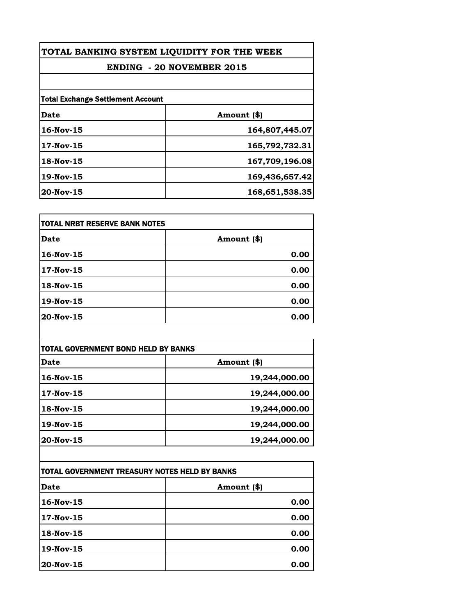| TOTAL BANKING SYSTEM LIQUIDITY FOR THE WEEK |                |  |
|---------------------------------------------|----------------|--|
| <b>ENDING - 20 NOVEMBER 2015</b>            |                |  |
|                                             |                |  |
| <b>Total Exchange Settlement Account</b>    |                |  |
| Date                                        | Amount (\$)    |  |
| $16$ -Nov- $15$                             | 164,807,445.07 |  |
| 17-Nov-15                                   | 165,792,732.31 |  |
| 18-Nov-15                                   | 167,709,196.08 |  |
| 19-Nov-15                                   | 169,436,657.42 |  |
| $20$ -Nov-15                                | 168,651,538.35 |  |

| itotal NRBT RESERVE BANK NOTES |             |
|--------------------------------|-------------|
| Date                           | Amount (\$) |
| 16-Nov-15                      | 0.00        |
| 17-Nov-15                      | 0.00        |
| 18-Nov-15                      | 0.00        |
| 19-Nov-15                      | 0.00        |
| 20-Nov-15                      | 0.00        |

| TOTAL GOVERNMENT BOND HELD BY BANKS |               |  |
|-------------------------------------|---------------|--|
| Date                                | Amount (\$)   |  |
| $16$ -Nov- $15$                     | 19,244,000.00 |  |
| 17-Nov-15                           | 19,244,000.00 |  |
| 18-Nov-15                           | 19,244,000.00 |  |
| $19$ -Nov-15                        | 19,244,000.00 |  |
| 20-Nov-15                           | 19,244,000.00 |  |

| TOTAL GOVERNMENT TREASURY NOTES HELD BY BANKS |             |  |
|-----------------------------------------------|-------------|--|
| Date                                          | Amount (\$) |  |
| $16$ -Nov- $15$                               | 0.00        |  |
| 17-Nov-15                                     | 0.00        |  |
| 18-Nov-15                                     | 0.00        |  |
| 19-Nov-15                                     | 0.00        |  |
| 20-Nov-15                                     | 0.00        |  |